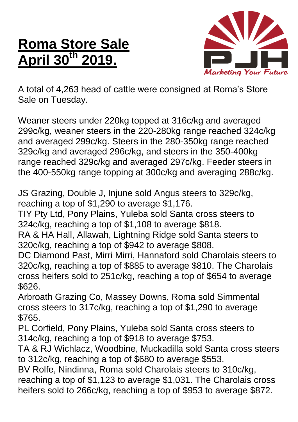## **Roma Store Sale April 30th 2019.**



A total of 4,263 head of cattle were consigned at Roma's Store Sale on Tuesday.

Weaner steers under 220kg topped at 316c/kg and averaged 299c/kg, weaner steers in the 220-280kg range reached 324c/kg and averaged 299c/kg. Steers in the 280-350kg range reached 329c/kg and averaged 296c/kg, and steers in the 350-400kg range reached 329c/kg and averaged 297c/kg. Feeder steers in the 400-550kg range topping at 300c/kg and averaging 288c/kg.

JS Grazing, Double J, Injune sold Angus steers to 329c/kg, reaching a top of \$1,290 to average \$1,176.

TIY Pty Ltd, Pony Plains, Yuleba sold Santa cross steers to 324c/kg, reaching a top of \$1,108 to average \$818.

RA & HA Hall, Allawah, Lightning Ridge sold Santa steers to 320c/kg, reaching a top of \$942 to average \$808.

DC Diamond Past, Mirri Mirri, Hannaford sold Charolais steers to 320c/kg, reaching a top of \$885 to average \$810. The Charolais cross heifers sold to 251c/kg, reaching a top of \$654 to average \$626.

Arbroath Grazing Co, Massey Downs, Roma sold Simmental cross steers to 317c/kg, reaching a top of \$1,290 to average \$765.

PL Corfield, Pony Plains, Yuleba sold Santa cross steers to 314c/kg, reaching a top of \$918 to average \$753.

TA & RJ Wichlacz, Woodbine, Muckadilla sold Santa cross steers to 312c/kg, reaching a top of \$680 to average \$553.

BV Rolfe, Nindinna, Roma sold Charolais steers to 310c/kg, reaching a top of \$1,123 to average \$1,031. The Charolais cross heifers sold to 266c/kg, reaching a top of \$953 to average \$872.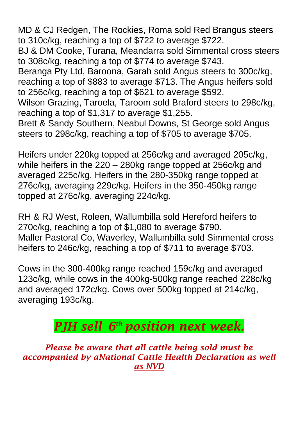MD & CJ Redgen, The Rockies, Roma sold Red Brangus steers to 310c/kg, reaching a top of \$722 to average \$722.

BJ & DM Cooke, Turana, Meandarra sold Simmental cross steers to 308c/kg, reaching a top of \$774 to average \$743.

Beranga Pty Ltd, Baroona, Garah sold Angus steers to 300c/kg, reaching a top of \$883 to average \$713. The Angus heifers sold to 256c/kg, reaching a top of \$621 to average \$592.

Wilson Grazing, Taroela, Taroom sold Braford steers to 298c/kg, reaching a top of \$1,317 to average \$1,255.

Brett & Sandy Southern, Neabul Downs, St George sold Angus steers to 298c/kg, reaching a top of \$705 to average \$705.

Heifers under 220kg topped at 256c/kg and averaged 205c/kg, while heifers in the 220 – 280kg range topped at 256c/kg and averaged 225c/kg. Heifers in the 280-350kg range topped at 276c/kg, averaging 229c/kg. Heifers in the 350-450kg range topped at 276c/kg, averaging 224c/kg.

RH & RJ West, Roleen, Wallumbilla sold Hereford heifers to 270c/kg, reaching a top of \$1,080 to average \$790. Maller Pastoral Co, Waverley, Wallumbilla sold Simmental cross heifers to 246c/kg, reaching a top of \$711 to average \$703.

Cows in the 300-400kg range reached 159c/kg and averaged 123c/kg, while cows in the 400kg-500kg range reached 228c/kg and averaged 172c/kg. Cows over 500kg topped at 214c/kg, averaging 193c/kg.

## *PJH sell 6 th position next week.*

*Please be aware that all cattle being sold must be accompanied by aNational Cattle Health Declaration as well as NVD*